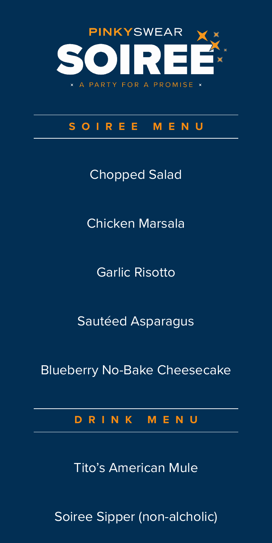

# **SOIREE MENU**

Chopped Salad

Chicken Marsala

Garlic Risotto

Sautéed Asparagus

Blueberry No-Bake Cheesecake

**DRINK MENU**

Tito's American Mule

Soiree Sipper (non-alcholic)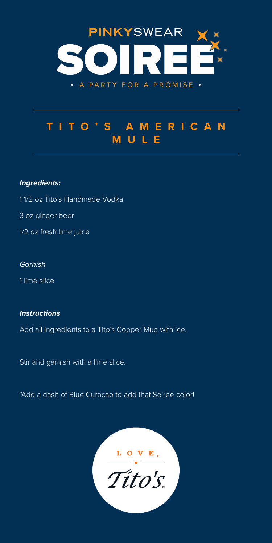

# **T I T O ' S A M E R I C A N MULE**

## *Ingredients:*

- 1 1/2 oz Tito's Handmade Vodka
- 3 oz ginger beer
- 1/2 oz fresh lime juice

### *Garnish*

1 lime slice

## *Instructions*

Add all ingredients to a Tito's Copper Mug with ice.

Stir and garnish with a lime slice.

\*Add a dash of Blue Curacao to add that Soiree color!

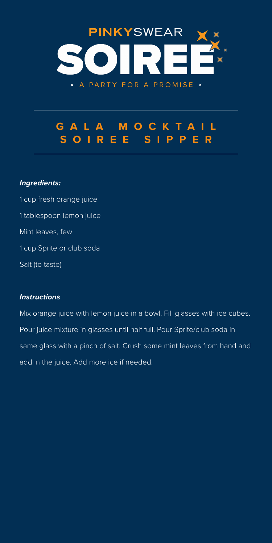

# **GALA MOCKTAIL SOIREE SIPPER**

## *Ingredients:*

1 cup fresh orange juice 1 tablespoon lemon juice Mint leaves, few 1 cup Sprite or club soda Salt (to taste)

## *Instructions*

Mix orange juice with lemon juice in a bowl. Fill glasses with ice cubes. Pour juice mixture in glasses until half full. Pour Sprite/club soda in same glass with a pinch of salt. Crush some mint leaves from hand and add in the juice. Add more ice if needed.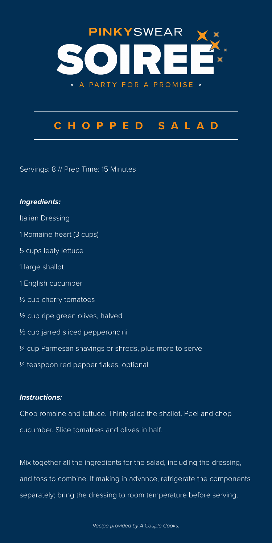

# **CHOPPED SALAD**

Servings: 8 // Prep Time: 15 Minutes

# *Ingredients:*  Italian Dressing 1 Romaine heart (3 cups) 5 cups leafy lettuce 1 large shallot 1 English cucumber ½ cup cherry tomatoes ½ cup ripe green olives, halved ½ cup jarred sliced pepperoncini ¼ cup Parmesan shavings or shreds, plus more to serve ¼ teaspoon red pepper flakes, optional

### *Instructions:*

Chop romaine and lettuce. Thinly slice the shallot. Peel and chop cucumber. Slice tomatoes and olives in half.

Mix together all the ingredients for the salad, including the dressing, and toss to combine. If making in advance, refrigerate the components separately; bring the dressing to room temperature before serving.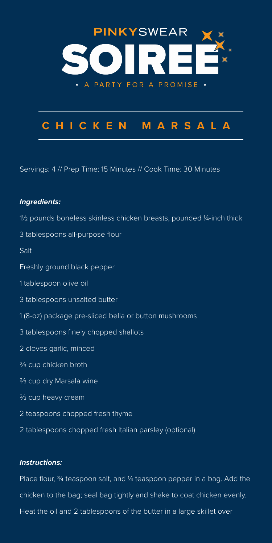

# **CHICKEN MARSALA**

Servings: 4 // Prep Time: 15 Minutes // Cook Time: 30 Minutes

### *Ingredients:*

1½ pounds boneless skinless chicken breasts, pounded ¼-inch thick

3 tablespoons all-purpose flour

Salt

- Freshly ground black pepper
- 1 tablespoon olive oil
- 3 tablespoons unsalted butter
- 1 (8-oz) package pre-sliced bella or button mushrooms
- 3 tablespoons finely chopped shallots
- 2 cloves garlic, minced
- ⅔ cup chicken broth
- ⅔ cup dry Marsala wine
- ⅔ cup heavy cream
- 2 teaspoons chopped fresh thyme
- 2 tablespoons chopped fresh Italian parsley (optional)

#### *Instructions:*

Place flour, ¾ teaspoon salt, and ¼ teaspoon pepper in a bag. Add the chicken to the bag; seal bag tightly and shake to coat chicken evenly. Heat the oil and 2 tablespoons of the butter in a large skillet over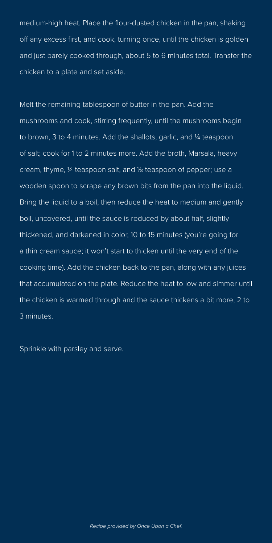medium-high heat. Place the flour-dusted chicken in the pan, shaking off any excess first, and cook, turning once, until the chicken is golden and just barely cooked through, about 5 to 6 minutes total. Transfer the chicken to a plate and set aside.

Melt the remaining tablespoon of butter in the pan. Add the mushrooms and cook, stirring frequently, until the mushrooms begin to brown, 3 to 4 minutes. Add the shallots, garlic, and ¼ teaspoon of salt; cook for 1 to 2 minutes more. Add the broth, Marsala, heavy cream, thyme, ¼ teaspoon salt, and ⅛ teaspoon of pepper; use a wooden spoon to scrape any brown bits from the pan into the liquid. Bring the liquid to a boil, then reduce the heat to medium and gently boil, uncovered, until the sauce is reduced by about half, slightly thickened, and darkened in color, 10 to 15 minutes (you're going for a thin cream sauce; it won't start to thicken until the very end of the cooking time). Add the chicken back to the pan, along with any juices that accumulated on the plate. Reduce the heat to low and simmer until the chicken is warmed through and the sauce thickens a bit more, 2 to 3 minutes.

Sprinkle with parsley and serve.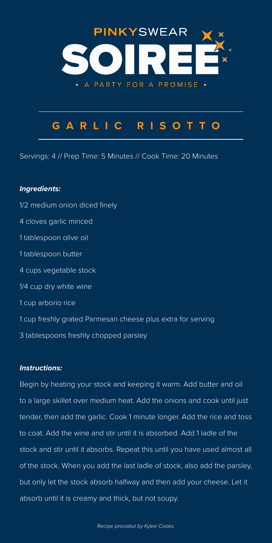

# **GARLIC RISOTTO**

Servings: 4 // Prep Time: 5 Minutes // Cook Time: 20 Minutes

# *Ingredients:*  1/2 medium onion diced finely 4 cloves garlic minced 1 tablespoon olive oil 1 tablespoon butter 4 cups vegetable stock 1/4 cup dry white wine 1 cup arborio rice 1 cup freshly grated Parmesan cheese plus extra for serving 3 tablespoons freshly chopped parsley

### *Instructions:*

Begin by heating your stock and keeping it warm. Add butter and oil to a large skillet over medium heat. Add the onions and cook until just tender, then add the garlic. Cook 1 minute longer. Add the rice and toss to coat. Add the wine and stir until it is absorbed. Add 1 ladle of the stock and stir until it absorbs. Repeat this until you have used almost all of the stock. When you add the last ladle of stock, also add the parsley, but only let the stock absorb halfway and then add your cheese. Let it absorb until it is creamy and thick, but not soupy.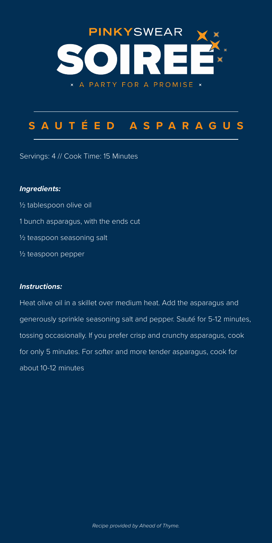

# **SAUTÉED ASPARAGUS**

Servings: 4 // Cook Time: 15 Minutes

#### *Ingredients:*

½ tablespoon olive oil 1 bunch asparagus, with the ends cut ½ teaspoon seasoning salt ½ teaspoon pepper

#### *Instructions:*

Heat olive oil in a skillet over medium heat. Add the asparagus and generously sprinkle seasoning salt and pepper. Sauté for 5-12 minutes, tossing occasionally. If you prefer crisp and crunchy asparagus, cook for only 5 minutes. For softer and more tender asparagus, cook for about 10-12 minutes.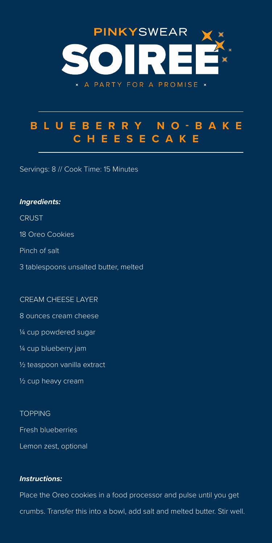

# **B L U E B E R R Y N O - B A K E CHEESECAKE**

Servings: 8 // Cook Time: 15 Minutes

### *Ingredients:*

**CRUST** 

18 Oreo Cookies

Pinch of salt

3 tablespoons unsalted butter, melted

#### CREAM CHEESE LAYER

8 ounces cream cheese

¼ cup powdered sugar

¼ cup blueberry jam

½ teaspoon vanilla extract

½ cup heavy cream

#### **TOPPING**

Fresh blueberries

Lemon zest, optional

### *Instructions:*

Place the Oreo cookies in a food processor and pulse until you get crumbs. Transfer this into a bowl, add salt and melted butter. Stir well.